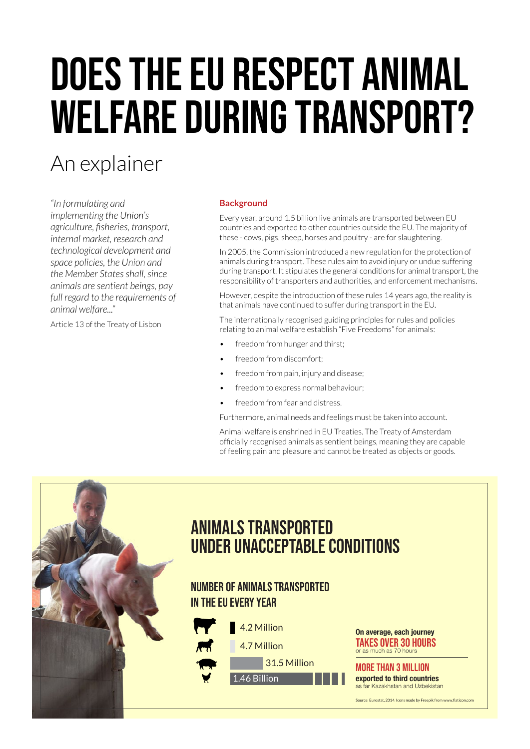# DOES THE EU RESPECT ANIMAL welfare during transport?

# An explainer

*"In formulating and implementing the Union's agriculture, fisheries, transport, internal market, research and technological development and space policies, the Union and the Member States shall, since animals are sentient beings, pay full regard to the requirements of animal welfare..."*

Article 13 of the Treaty of Lisbon

#### **Background**

Every year, around 1.5 billion live animals are transported between EU countries and exported to other countries outside the EU. The majority of these - cows, pigs, sheep, horses and poultry - are for slaughtering.

In 2005, the Commission introduced a new regulation for the protection of animals during transport. These rules aim to avoid injury or undue suffering during transport. It stipulates the general conditions for animal transport, the responsibility of transporters and authorities, and enforcement mechanisms.

However, despite the introduction of these rules 14 years ago, the reality is that animals have continued to suffer during transport in the EU.

The internationally recognised guiding principles for rules and policies relating to animal welfare establish "Five Freedoms" for animals:

- freedom from hunger and thirst;
- freedom from discomfort:
- freedom from pain, injury and disease;
- freedom to express normal behaviour;
- freedom from fear and distress.

Furthermore, animal needs and feelings must be taken into account.

Animal welfare is enshrined in EU Treaties. The Treaty of Amsterdam officially recognised animals as sentient beings, meaning they are capable of feeling pain and pleasure and cannot be treated as objects or goods.



## animals transported under unacceptable conditions

### number of animals transported in the EU every year



On average, each journey takes over 30 hours or as much as 70 hours

## more than 3 million

exported to third countries as far Kazakhstan and Uzbekistan

Source: Eurostat, 2014. Icons made by Freepik from www.flaticon.